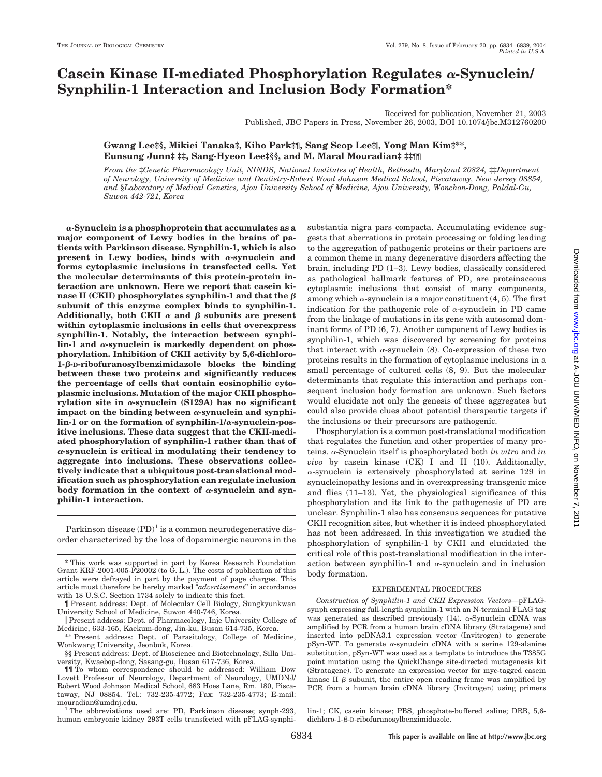# **Casein Kinase II-mediated Phosphorylation Regulates α-Synuclein/ Synphilin-1 Interaction and Inclusion Body Formation\***

Received for publication, November 21, 2003 Published, JBC Papers in Press, November 26, 2003, DOI 10.1074/jbc.M312760200

# **Gwang Lee‡§, Mikiei Tanaka‡, Kiho Park‡¶, Sang Seop Lee‡, Yong Man Kim‡\*\*, Eunsung Junn‡ ‡‡, Sang-Hyeon Lee‡§§, and M. Maral Mouradian‡ ‡‡¶¶**

*From the* ‡*Genetic Pharmacology Unit, NINDS, National Institutes of Health, Bethesda, Maryland 20824,* ‡‡*Department of Neurology, University of Medicine and Dentistry-Robert Wood Johnson Medical School, Piscataway, New Jersey 08854, and* §*Laboratory of Medical Genetics, Ajou University School of Medicine, Ajou University, Wonchon-Dong, Paldal-Gu, Suwon 442-721, Korea*

**-Synuclein is a phosphoprotein that accumulates as a major component of Lewy bodies in the brains of patients with Parkinson disease. Synphilin-1, which is also** present in Lewy bodies, binds with  $\alpha$ -synuclein and **forms cytoplasmic inclusions in transfected cells. Yet the molecular determinants of this protein-protein interaction are unknown. Here we report that casein ki**nase II (CKII) phosphorylates synphilin-1 and that the  $\beta$ **subunit of this enzyme complex binds to synphilin-1.** Additionally, both CKII  $\alpha$  and  $\beta$  subunits are present **within cytoplasmic inclusions in cells that overexpress synphilin-1. Notably, the interaction between synphi**lin-1 and  $\alpha$ -synuclein is markedly dependent on phos**phorylation. Inhibition of CKII activity by 5,6-dichloro-**1-β-D-ribofuranosylbenzimidazole blocks the binding **between these two proteins and significantly reduces the percentage of cells that contain eosinophilic cytoplasmic inclusions. Mutation of the major CKII phospho**rylation site in  $\alpha$ -synuclein (S129A) has no significant impact on the binding between  $\alpha$ -synuclein and synphilin-1 or on the formation of synphilin-1/ $\alpha$ -synuclein-pos**itive inclusions. These data suggest that the CKII-mediated phosphorylation of synphilin-1 rather than that of -synuclein is critical in modulating their tendency to aggregate into inclusions. These observations collectively indicate that a ubiquitous post-translational modification such as phosphorylation can regulate inclusion** body formation in the context of  $\alpha$ -synuclein and syn**philin-1 interaction.**

Parkinson disease  $(PD)^1$  is a common neurodegenerative disorder characterized by the loss of dopaminergic neurons in the

\* This work was supported in part by Korea Research Foundation Grant KRF-2001-005-F20002 (to G. L.). The costs of publication of this article were defrayed in part by the payment of page charges. This article must therefore be hereby marked "*advertisement*" in accordance with 18 U.S.C. Section 1734 solely to indicate this fact.

 Present address: Dept. of Pharmacology, Inje University College of Medicine, 633-165, Kaekum-dong, Jin-ku, Busan 614-735, Korea.

\*\* Present address: Dept. of Parasitology, College of Medicine, Wonkwang University, Jeonbuk, Korea.

§§ Present address: Dept. of Bioscience and Biotechnology, Silla University, Kwaebop-dong, Sasang-gu, Busan 617-736, Korea.

 $^1$  The abbreviations used are: PD, Parkinson disease; synph-293, human embryonic kidney 293T cells transfected with pFLAG-synphisubstantia nigra pars compacta. Accumulating evidence suggests that aberrations in protein processing or folding leading to the aggregation of pathogenic proteins or their partners are a common theme in many degenerative disorders affecting the brain, including PD (1–3). Lewy bodies, classically considered as pathological hallmark features of PD, are proteinaceous cytoplasmic inclusions that consist of many components, among which  $\alpha$ -synuclein is a major constituent (4, 5). The first indication for the pathogenic role of  $\alpha$ -synuclein in PD came from the linkage of mutations in its gene with autosomal dominant forms of PD (6, 7). Another component of Lewy bodies is synphilin-1, which was discovered by screening for proteins that interact with  $\alpha$ -synuclein (8). Co-expression of these two proteins results in the formation of cytoplasmic inclusions in a small percentage of cultured cells (8, 9). But the molecular determinants that regulate this interaction and perhaps consequent inclusion body formation are unknown. Such factors would elucidate not only the genesis of these aggregates but could also provide clues about potential therapeutic targets if the inclusions or their precursors are pathogenic.

Phosphorylation is a common post-translational modification that regulates the function and other properties of many proteins.  $\alpha$ -Synuclein itself is phosphorylated both *in vitro* and *in vivo* by casein kinase (CK) I and II (10). Additionally,  $\alpha$ -synuclein is extensively phosphorylated at serine 129 in synucleinopathy lesions and in overexpressing transgenic mice and flies (11–13). Yet, the physiological significance of this phosphorylation and its link to the pathogenesis of PD are unclear. Synphilin-1 also has consensus sequences for putative CKII recognition sites, but whether it is indeed phosphorylated has not been addressed. In this investigation we studied the phosphorylation of synphilin-1 by CKII and elucidated the critical role of this post-translational modification in the interaction between synphilin-1 and  $\alpha$ -synuclein and in inclusion body formation.

#### EXPERIMENTAL PROCEDURES

*Construction of Synphilin-1 and CKII Expression Vectors—*pFLAGsynph expressing full-length synphilin-1 with an N-terminal FLAG tag was generated as described previously (14).  $\alpha$ -Synuclein cDNA was amplified by PCR from a human brain cDNA library (Stratagene) and inserted into pcDNA3.1 expression vector (Invitrogen) to generate pSyn-WT. To generate  $\alpha$ -synuclein cDNA with a serine 129-alanine substitution, pSyn-WT was used as a template to introduce the T385G point mutation using the QuickChange site-directed mutagenesis kit (Stratagene). To generate an expression vector for myc-tagged casein kinase II  $\beta$  subunit, the entire open reading frame was amplified by PCR from a human brain cDNA library (Invitrogen) using primers

<sup>¶</sup> Present address: Dept. of Molecular Cell Biology, Sungkyunkwan University School of Medicine, Suwon 440-746, Korea.

<sup>¶¶</sup> To whom correspondence should be addressed: William Dow Lovett Professor of Neurology, Department of Neurology, UMDNJ/ Robert Wood Johnson Medical School, 683 Hoes Lane, Rm. 180, Piscataway, NJ 08854. Tel.: 732-235-4772; Fax: 732-235-4773; E-mail:

lin-1; CK, casein kinase; PBS, phosphate-buffered saline; DRB, 5,6 dichloro-1- $\beta$ -D-ribofuranosylbenzimidazole.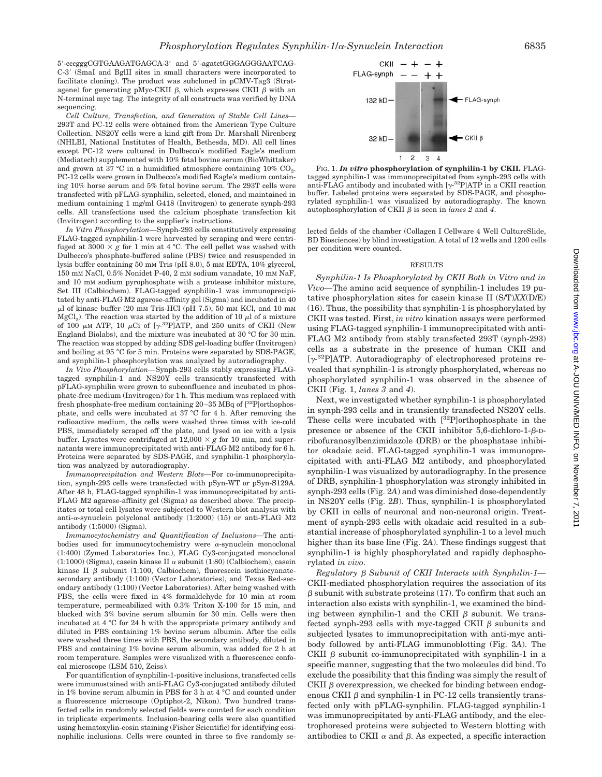5-cccgggCGTGAAGATGAGCA-3 and 5-agatctGGGAGGGAATCAG-C-3 (SmaI and BglII sites in small characters were incorporated to facilitate cloning). The product was subcloned in pCMV-Tag3 (Stratagene) for generating pMyc-CKII  $\beta$ , which expresses CKII  $\beta$  with an N-terminal myc tag. The integrity of all constructs was verified by DNA sequencing.

*Cell Culture, Transfection, and Generation of Stable Cell Lines—* 293T and PC-12 cells were obtained from the American Type Culture Collection. NS20Y cells were a kind gift from Dr. Marshall Nirenberg (NHLBI, National Institutes of Health, Bethesda, MD). All cell lines except PC-12 were cultured in Dulbecco's modified Eagle's medium (Mediatech) supplemented with 10% fetal bovine serum (BioWhittaker) and grown at 37 °C in a humidified atmosphere containing  $10\%$  CO<sub>2</sub>. PC-12 cells were grown in Dulbecco's modified Eagle's medium containing 10% horse serum and 5% fetal bovine serum. The 293T cells were transfected with pFLAG-synphilin, selected, cloned, and maintained in medium containing 1 mg/ml G418 (Invitrogen) to generate synph-293 cells. All transfections used the calcium phosphate transfection kit (Invitrogen) according to the supplier's instructions.

*In Vitro Phosphorylation—*Synph-293 cells constitutively expressing FLAG-tagged synphilin-1 were harvested by scraping and were centrifuged at  $3000 \times g$  for 1 min at 4 °C. The cell pellet was washed with Dulbecco's phosphate-buffered saline (PBS) twice and resuspended in lysis buffer containing 50 mM Tris (pH 8.0), 5 mM EDTA, 10% glycerol, 150 mM NaCl, 0.5% Nonidet P-40, 2 mM sodium vanadate, 10 mM NaF, and 10 mM sodium pyrophosphate with a protease inhibitor mixture, Set III (Calbiochem). FLAG-tagged synphilin-1 was immunoprecipitated by anti-FLAG M2 agarose-affinity gel (Sigma) and incubated in 40  $\mu$ l of kinase buffer (20 mm Tris-HCl (pH 7.5), 50 mm KCl, and 10 mm  $MgCl<sub>2</sub>$ ). The reaction was started by the addition of 10  $\mu$ l of a mixture of 100  $\mu$ M ATP, 10  $\mu$ Ci of [ $\gamma$ -<sup>32</sup>P]ATP, and 250 units of CKII (New England Biolabs), and the mixture was incubated at 30 °C for 30 min. The reaction was stopped by adding SDS gel-loading buffer (Invitrogen) and boiling at 95 °C for 5 min. Proteins were separated by SDS-PAGE, and synphilin-1 phosphorylation was analyzed by autoradiography.

*In Vivo Phosphorylation—*Synph-293 cells stably expressing FLAGtagged synphilin-1 and NS20Y cells transiently transfected with pFLAG-synphilin were grown to subconfluence and incubated in phosphate-free medium (Invitrogen) for 1 h. This medium was replaced with fresh phosphate-free medium containing 20–35 MBq of [32P]orthophosphate, and cells were incubated at 37 °C for 4 h. After removing the radioactive medium, the cells were washed three times with ice-cold PBS, immediately scraped off the plate, and lysed on ice with a lysis buffer. Lysates were centrifuged at  $12,000 \times g$  for 10 min, and supernatants were immunoprecipitated with anti-FLAG M2 antibody for 6 h. Proteins were separated by SDS-PAGE, and synphilin-1 phosphorylation was analyzed by autoradiography.

*Immunoprecipitation and Western Blots—*For co-immunoprecipitation, synph-293 cells were transfected with pSyn-WT or pSyn-S129A. After 48 h, FLAG-tagged synphilin-1 was immunoprecipitated by anti-FLAG M2 agarose-affinity gel (Sigma) as described above. The precipitates or total cell lysates were subjected to Western blot analysis with anti- $\alpha$ -synuclein polyclonal antibody (1:2000) (15) or anti-FLAG M2 antibody (1:5000) (Sigma).

*Immunocytochemistry and Quantification of Inclusions—*The antibodies used for immunocytochemistry were  $\alpha$ -synuclein monoclonal (1:400) (Zymed Laboratories Inc.), FLAG Cy3-conjugated monoclonal  $(1:1000)$  (Sigma), casein kinase II  $\alpha$  subunit  $(1:80)$  (Calbiochem), casein kinase II  $\beta$  subunit (1:100, Calbiochem), fluorescein isothiocyanatesecondary antibody (1:100) (Vector Laboratories), and Texas Red-secondary antibody (1:100) (Vector Laboratories). After being washed with PBS, the cells were fixed in 4% formaldehyde for 10 min at room temperature, permeabilized with 0.3% Triton X-100 for 15 min, and blocked with 3% bovine serum albumin for 30 min. Cells were then incubated at 4 °C for 24 h with the appropriate primary antibody and diluted in PBS containing 1% bovine serum albumin. After the cells were washed three times with PBS, the secondary antibody, diluted in PBS and containing 1% bovine serum albumin, was added for 2 h at room temperature. Samples were visualized with a fluorescence confocal microscope (LSM 510, Zeiss).

For quantification of synphilin-1-positive inclusions, transfected cells were immunostained with anti-FLAG Cy3-conjugated antibody diluted in 1% bovine serum albumin in PBS for 3 h at 4 °C and counted under a fluorescence microscope (Optiphot-2, Nikon). Two hundred transfected cells in randomly selected fields were counted for each condition in triplicate experiments. Inclusion-bearing cells were also quantified using hematoxylin-eosin staining (Fisher Scientific) for identifying eosinophilic inclusions. Cells were counted in three to five randomly se-



FIG. 1. *In vitro* **phosphorylation of synphilin-1 by CKII.** FLAGtagged synphilin-1 was immunoprecipitated from synph-293 cells with anti-FLAG antibody and incubated with  $[\gamma^{32}P]ATP$  in a CKII reaction buffer. Labeled proteins were separated by SDS-PAGE, and phosphorylated synphilin-1 was visualized by autoradiography. The known autophosphorylation of CKII  $\beta$  is seen in *lanes* 2 and 4.

lected fields of the chamber (Collagen I Cellware 4 Well CultureSlide, BD Biosciences) by blind investigation. A total of 12 wells and 1200 cells per condition were counted.

### RESULTS

*Synphilin-1 Is Phosphorylated by CKII Both in Vitro and in Vivo—*The amino acid sequence of synphilin-1 includes 19 putative phosphorylation sites for casein kinase II (S/T)*XX*(D/E) (16). Thus, the possibility that synphilin-1 is phosphorylated by CKII was tested. First, *in vitro* kination assays were performed using FLAG-tagged synphilin-1 immunoprecipitated with anti-FLAG M2 antibody from stably transfected 293T (synph-293) cells as a substrate in the presence of human CKII and  $[\gamma^{32}P]$ ATP. Autoradiography of electrophoresed proteins revealed that synphilin-1 is strongly phosphorylated, whereas no phosphorylated synphilin-1 was observed in the absence of CKII (Fig. 1, *lanes 3* and *4*).

Next, we investigated whether synphilin-1 is phosphorylated in synph-293 cells and in transiently transfected NS20Y cells. These cells were incubated with [32P]orthophosphate in the presence or absence of the CKII inhibitor  $5,6$ -dichloro-1- $\beta$ -Dribofuranosylbenzimidazole **(**DRB) or the phosphatase inhibitor okadaic acid. FLAG-tagged synphilin-1 was immunoprecipitated with anti-FLAG M2 antibody, and phosphorylated synphilin-1 was visualized by autoradiography. In the presence of DRB, synphilin-1 phosphorylation was strongly inhibited in synph-293 cells (Fig. 2*A*) and was diminished dose-dependently in NS20Y cells (Fig. 2*B*). Thus, synphilin-1 is phosphorylated by CKII in cells of neuronal and non-neuronal origin. Treatment of synph-293 cells with okadaic acid resulted in a substantial increase of phosphorylated synphilin-1 to a level much higher than its base line (Fig. 2*A*). These findings suggest that synphilin-1 is highly phosphorylated and rapidly dephosphorylated *in vivo*.

*Regulatory* β Subunit of CKII Interacts with Synphilin-1— CKII-mediated phosphorylation requires the association of its  $\beta$  subunit with substrate proteins (17). To confirm that such an interaction also exists with synphilin-1, we examined the binding between synphilin-1 and the CKII  $\beta$  subunit. We transfected synph-293 cells with myc-tagged CKII  $\beta$  subunits and subjected lysates to immunoprecipitation with anti-myc antibody followed by anti-FLAG immunoblotting (Fig. 3*A*). The CKII  $\beta$  subunit co-immunoprecipitated with synphilin-1 in a specific manner, suggesting that the two molecules did bind. To exclude the possibility that this finding was simply the result of CKII  $\beta$  overexpression, we checked for binding between endogenous CKII  $\beta$  and synphilin-1 in PC-12 cells transiently transfected only with pFLAG-synphilin. FLAG-tagged synphilin-1 was immunoprecipitated by anti-FLAG antibody, and the electrophoresed proteins were subjected to Western blotting with antibodies to CKII  $\alpha$  and  $\beta$ . As expected, a specific interaction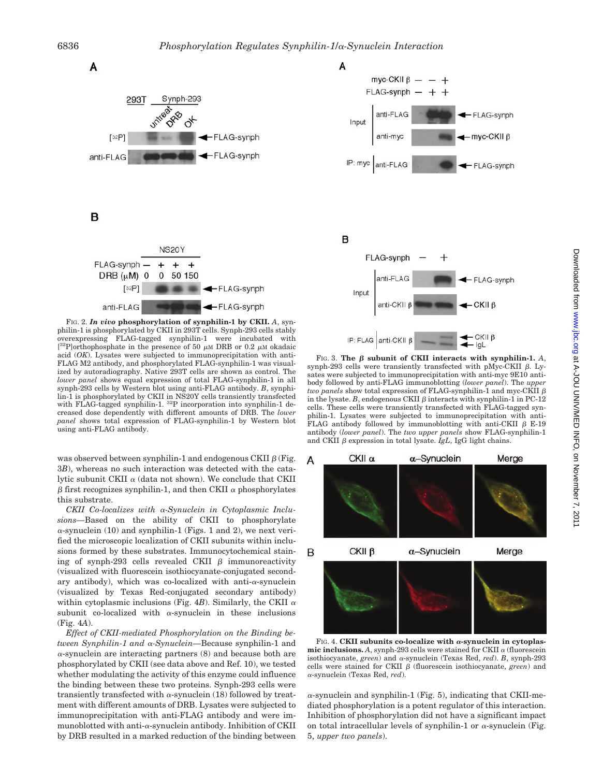

FIG. 2. *In vivo* **phosphorylation of synphilin-1 by CKII.** *A*, synphilin-1 is phosphorylated by CKII in 293T cells. Synph-293 cells stably overexpressing FLAG-tagged synphilin-1 were incubated with [ $32$ P]orthophosphate in the presence of 50  $\mu$ M DRB or 0.2  $\mu$ M okadaic acid (*OK*). Lysates were subjected to immunoprecipitation with anti-FLAG M2 antibody, and phosphorylated FLAG-synphilin-1 was visualized by autoradiography. Native 293T cells are shown as control. The *lower panel* shows equal expression of total FLAG-synphilin-1 in all synph-293 cells by Western blot using anti-FLAG antibody. *B*, synphilin-1 is phosphorylated by CKII in NS20Y cells transiently transfected with FLAG-tagged synphilin-1. 32P incorporation into synphilin-1 decreased dose dependently with different amounts of DRB. The *lower panel* shows total expression of FLAG-synphilin-1 by Western blot using anti-FLAG antibody.

was observed between synphilin-1 and endogenous CKII  $\beta$  (Fig. 3*B*), whereas no such interaction was detected with the catalytic subunit CKII  $\alpha$  (data not shown). We conclude that CKII  $\beta$  first recognizes synphilin-1, and then CKII  $\alpha$  phosphorylates this substrate.

CKII Co-localizes with  $\alpha$ -Synuclein in Cytoplasmic Inclu*sions—*Based on the ability of CKII to phosphorylate  $\alpha$ -synuclein (10) and synphilin-1 (Figs. 1 and 2), we next verified the microscopic localization of CKII subunits within inclusions formed by these substrates. Immunocytochemical staining of synph-293 cells revealed CKII  $\beta$  immunoreactivity (visualized with fluorescein isothiocyanate-conjugated secondary antibody), which was co-localized with anti- $\alpha$ -synuclein (visualized by Texas Red-conjugated secondary antibody) within cytoplasmic inclusions (Fig.  $4B$ ). Similarly, the CKII  $\alpha$ subunit co-localized with  $\alpha$ -synuclein in these inclusions (Fig. 4*A*).

*Effect of CKII-mediated Phosphorylation on the Binding between Synphilin-1 and*  $\alpha$ *-Synuclein*—Because synphilin-1 and  $\alpha$ -synuclein are interacting partners (8) and because both are phosphorylated by CKII (see data above and Ref. 10), we tested whether modulating the activity of this enzyme could influence the binding between these two proteins. Synph-293 cells were transiently transfected with  $\alpha$ -synuclein (18) followed by treatment with different amounts of DRB. Lysates were subjected to immunoprecipitation with anti-FLAG antibody and were immunoblotted with anti- $\alpha$ -synuclein antibody. Inhibition of CKII by DRB resulted in a marked reduction of the binding between



B



FIG. 3. The  $\beta$  subunit of CKII interacts with synphilin-1. A, synph-293 cells were transiently transfected with pMyc-CKII  $\beta$ . Lysates were subjected to immunoprecipitation with anti-myc 9E10 antibody followed by anti-FLAG immunoblotting (*lower panel*). The *upper two panels* show total expression of FLAG-synphilin-1 and myc-CKII  $\beta$ in the lysate. *B*, endogenous CKII  $\beta$  interacts with synphilin-1 in PC-12 cells. These cells were transiently transfected with FLAG-tagged synphilin-1. Lysates were subjected to immunoprecipitation with anti-FLAG antibody followed by immunoblotting with anti-CKII  $\beta$  E-19 antibody (*lower panel*). The *two upper panels* show FLAG-synphilin-1 and CKII  $\beta$  expression in total lysate. *IgL*, IgG light chains.



FIG. 4. CKII subunits co-localize with  $\alpha$ -synuclein in cytoplas**mic inclusions.** A, synph-293 cells were stained for CKII  $\alpha$  (fluorescein isothiocyanate, *green*) and  $\alpha$ -synuclein (Texas Red, *red*). *B*, synph-293 cells were stained for CKII  $\beta$  (fluorescein isothiocyanate, *green*) and -synuclein (Texas Red, *red*).

 $\alpha$ -synuclein and synphilin-1 (Fig. 5), indicating that CKII-mediated phosphorylation is a potent regulator of this interaction. Inhibition of phosphorylation did not have a significant impact on total intracellular levels of synphilin-1 or  $\alpha$ -synuclein (Fig. 5, *upper two panels*).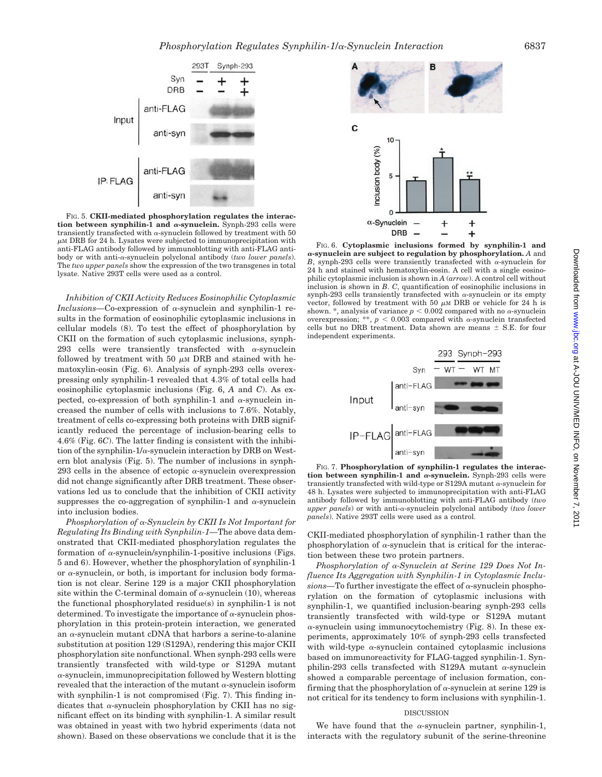

FIG. 5. **CKII-mediated phosphorylation regulates the interaction between synphilin-1 and**  $\alpha$ **-synuclein.** Synph-293 cells were transiently transfected with  $\alpha$ -synuclein followed by treatment with 50  $\mu$ M DRB for 24 h. Lysates were subjected to immunoprecipitation with anti-FLAG antibody followed by immunoblotting with anti-FLAG antibody or with anti-α-synuclein polyclonal antibody (*two lower panels*). The *two upper panels* show the expression of the two transgenes in total lysate. Native 293T cells were used as a control.

*Inhibition of CKII Activity Reduces Eosinophilic Cytoplasmic*  $Inclusions$ —Co-expression of  $\alpha$ -synuclein and synphilin-1 results in the formation of eosinophilic cytoplasmic inclusions in cellular models (8). To test the effect of phosphorylation by CKII on the formation of such cytoplasmic inclusions, synph-293 cells were transiently transfected with  $\alpha$ -synuclein followed by treatment with 50  $\mu$ M DRB and stained with hematoxylin-eosin (Fig. 6). Analysis of synph-293 cells overexpressing only synphilin-1 revealed that 4.3% of total cells had eosinophilic cytoplasmic inclusions (Fig. 6, *A* and *C*). As expected, co-expression of both synphilin-1 and  $\alpha$ -synuclein increased the number of cells with inclusions to 7.6%. Notably, treatment of cells co-expressing both proteins with DRB significantly reduced the percentage of inclusion-bearing cells to 4.6% (Fig. 6*C*). The latter finding is consistent with the inhibition of the synphilin- $1/\alpha$ -synuclein interaction by DRB on Western blot analysis (Fig. 5). The number of inclusions in synph-293 cells in the absence of ectopic  $\alpha$ -synuclein overexpression did not change significantly after DRB treatment. These observations led us to conclude that the inhibition of CKII activity suppresses the co-aggregation of synphilin-1 and  $\alpha$ -synuclein into inclusion bodies.

*Phosphorylation of* α-Synuclein by CKII Is Not Important for *Regulating Its Binding with Synphilin-1—*The above data demonstrated that CKII-mediated phosphorylation regulates the formation of  $\alpha$ -synuclein/synphilin-1-positive inclusions (Figs. 5 and 6). However, whether the phosphorylation of synphilin-1 or  $\alpha$ -synuclein, or both, is important for inclusion body formation is not clear. Serine 129 is a major CKII phosphorylation site within the C-terminal domain of  $\alpha$ -synuclein (10), whereas the functional phosphorylated residue(s) in synphilin-1 is not determined. To investigate the importance of  $\alpha$ -synuclein phosphorylation in this protein-protein interaction, we generated an  $\alpha$ -synuclein mutant cDNA that harbors a serine-to-alanine substitution at position 129 (S129A), rendering this major CKII phosphorylation site nonfunctional. When synph-293 cells were transiently transfected with wild-type or S129A mutant  $\alpha$ -synuclein, immunoprecipitation followed by Western blotting revealed that the interaction of the mutant  $\alpha$ -synuclein isoform with synphilin-1 is not compromised (Fig. 7). This finding indicates that  $\alpha$ -synuclein phosphorylation by CKII has no significant effect on its binding with synphilin-1. A similar result was obtained in yeast with two hybrid experiments (data not shown). Based on these observations we conclude that it is the



FIG. 6. **Cytoplasmic inclusions formed by synphilin-1 and -synuclein are subject to regulation by phosphorylation.** *A* and *B*, synph-293 cells were transiently transfected with  $\alpha$ -synuclein for 24 h and stained with hematoxylin-eosin. A cell with a single eosinophilic cytoplasmic inclusion is shown in *A* (*arrow*). A control cell without inclusion is shown in *B*. *C*, quantification of eosinophilic inclusions in synph-293 cells transiently transfected with  $\alpha$ -synuclein or its empty vector, followed by treatment with 50  $\mu$ M DRB or vehicle for 24 h is shown. \*, analysis of variance  $p < 0.002$  compared with no  $\alpha$ -synuclein overexpression; \*\*,  $p < 0.003$  compared with  $\alpha$ -synuclein transfected cells but no DRB treatment. Data shown are means  $\pm$  S.E. for four independent experiments.



FIG. 7. **Phosphorylation of synphilin-1 regulates the interac**tion between synphilin-1 and  $\alpha$ -synuclein. Synph-293 cells were transiently transfected with wild-type or S129A mutant  $\alpha$ -synuclein for 48 h. Lysates were subjected to immunoprecipitation with anti-FLAG antibody followed by immunoblotting with anti-FLAG antibody (*two upper panels*) or with anti- $\alpha$ -synuclein polyclonal antibody (*two lower panels*). Native 293T cells were used as a control.

CKII-mediated phosphorylation of synphilin-1 rather than the phosphorylation of  $\alpha$ -synuclein that is critical for the interaction between these two protein partners.

*Phosphorylation of* α-Synuclein at Serine 129 Does Not In*fluence Its Aggregation with Synphilin-1 in Cytoplasmic Inclu* $sions$ —To further investigate the effect of  $\alpha$ -synuclein phosphorylation on the formation of cytoplasmic inclusions with synphilin-1, we quantified inclusion-bearing synph-293 cells transiently transfected with wild-type or S129A mutant  $\alpha$ -synuclein using immunocytochemistry (Fig. 8). In these experiments, approximately 10% of synph-293 cells transfected with wild-type  $\alpha$ -synuclein contained cytoplasmic inclusions based on immunoreactivity for FLAG-tagged synphilin-1. Synphilin-293 cells transfected with S129A mutant  $\alpha$ -synuclein showed a comparable percentage of inclusion formation, confirming that the phosphorylation of  $\alpha$ -synuclein at serine 129 is not critical for its tendency to form inclusions with synphilin-1.

## DISCUSSION

We have found that the  $\alpha$ -synuclein partner, synphilin-1, interacts with the regulatory subunit of the serine-threonine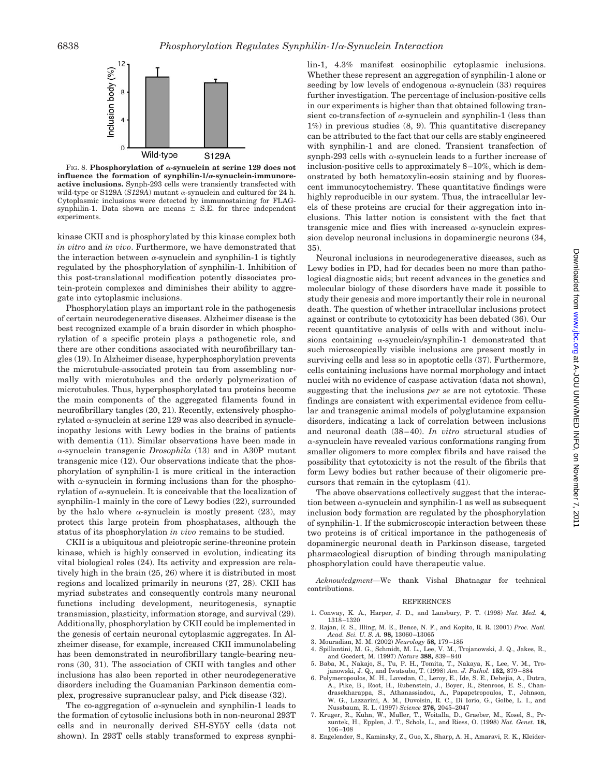

FIG. 8. Phosphorylation of  $\alpha$ -synuclein at serine 129 does not influence the formation of synphilin- $1/\alpha$ -synuclein-immunore**active inclusions.** Synph-293 cells were transiently transfected with wild-type or S129A ( $S129A$ ) mutant  $\alpha$ -synuclein and cultured for 24 h. Cytoplasmic inclusions were detected by immunostaining for FLAGsynphilin-1. Data shown are means  $\pm$  S.E. for three independent experiments.

kinase CKII and is phosphorylated by this kinase complex both *in vitro* and *in vivo*. Furthermore, we have demonstrated that the interaction between  $\alpha$ -synuclein and synphilin-1 is tightly regulated by the phosphorylation of synphilin-1. Inhibition of this post-translational modification potently dissociates protein-protein complexes and diminishes their ability to aggregate into cytoplasmic inclusions.

Phosphorylation plays an important role in the pathogenesis of certain neurodegenerative diseases. Alzheimer disease is the best recognized example of a brain disorder in which phosphorylation of a specific protein plays a pathogenetic role, and there are other conditions associated with neurofibrillary tangles (19). In Alzheimer disease, hyperphosphorylation prevents the microtubule-associated protein tau from assembling normally with microtubules and the orderly polymerization of microtubules. Thus, hyperphosphorylated tau proteins become the main components of the aggregated filaments found in neurofibrillary tangles (20, 21). Recently, extensively phosphorylated  $\alpha$ -synuclein at serine 129 was also described in synucleinopathy lesions with Lewy bodies in the brains of patients with dementia (11). Similar observations have been made in -synuclein transgenic *Drosophila* (13) and in A30P mutant transgenic mice (12). Our observations indicate that the phosphorylation of synphilin-1 is more critical in the interaction with  $\alpha$ -synuclein in forming inclusions than for the phosphorylation of  $\alpha$ -synuclein. It is conceivable that the localization of synphilin-1 mainly in the core of Lewy bodies (22), surrounded by the halo where  $\alpha$ -synuclein is mostly present (23), may protect this large protein from phosphatases, although the status of its phosphorylation *in vivo* remains to be studied.

CKII is a ubiquitous and pleiotropic serine-threonine protein kinase, which is highly conserved in evolution, indicating its vital biological roles (24). Its activity and expression are relatively high in the brain (25, 26) where it is distributed in most regions and localized primarily in neurons (27, 28). CKII has myriad substrates and consequently controls many neuronal functions including development, neuritogenesis, synaptic transmission, plasticity, information storage, and survival (29). Additionally, phosphorylation by CKII could be implemented in the genesis of certain neuronal cytoplasmic aggregates. In Alzheimer disease, for example, increased CKII immunolabeling has been demonstrated in neurofibrillary tangle-bearing neurons (30, 31). The association of CKII with tangles and other inclusions has also been reported in other neurodegenerative disorders including the Guamanian Parkinson dementia complex, progressive supranuclear palsy, and Pick disease (32).

The co-aggregation of  $\alpha$ -synuclein and synphilin-1 leads to the formation of cytosolic inclusions both in non-neuronal 293T cells and in neuronally derived SH-SY5Y cells (data not shown). In 293T cells stably transformed to express synphilin-1, 4.3% manifest eosinophilic cytoplasmic inclusions. Whether these represent an aggregation of synphilin-1 alone or seeding by low levels of endogenous  $\alpha$ -synuclein (33) requires further investigation. The percentage of inclusion-positive cells in our experiments is higher than that obtained following transient co-transfection of  $\alpha$ -synuclein and synphilin-1 (less than 1%) in previous studies (8, 9). This quantitative discrepancy can be attributed to the fact that our cells are stably engineered with synphilin-1 and are cloned. Transient transfection of synph-293 cells with  $\alpha$ -synuclein leads to a further increase of inclusion-positive cells to approximately 8–10%, which is demonstrated by both hematoxylin-eosin staining and by fluorescent immunocytochemistry. These quantitative findings were highly reproducible in our system. Thus, the intracellular levels of these proteins are crucial for their aggregation into inclusions. This latter notion is consistent with the fact that transgenic mice and flies with increased  $\alpha$ -synuclein expression develop neuronal inclusions in dopaminergic neurons (34, 35).

Neuronal inclusions in neurodegenerative diseases, such as Lewy bodies in PD, had for decades been no more than pathological diagnostic aids; but recent advances in the genetics and molecular biology of these disorders have made it possible to study their genesis and more importantly their role in neuronal death. The question of whether intracellular inclusions protect against or contribute to cytotoxicity has been debated (36). Our recent quantitative analysis of cells with and without inclusions containing  $\alpha$ -synuclein/synphilin-1 demonstrated that such microscopically visible inclusions are present mostly in surviving cells and less so in apoptotic cells (37). Furthermore, cells containing inclusions have normal morphology and intact nuclei with no evidence of caspase activation (data not shown), suggesting that the inclusions *per se* are not cytotoxic. These findings are consistent with experimental evidence from cellular and transgenic animal models of polyglutamine expansion disorders, indicating a lack of correlation between inclusions and neuronal death (38–40). *In vitro* structural studies of  $\alpha$ -synuclein have revealed various conformations ranging from smaller oligomers to more complex fibrils and have raised the possibility that cytotoxicity is not the result of the fibrils that form Lewy bodies but rather because of their oligomeric precursors that remain in the cytoplasm (41).

The above observations collectively suggest that the interaction between  $\alpha$ -synuclein and synphilin-1 as well as subsequent inclusion body formation are regulated by the phosphorylation of synphilin-1. If the submicroscopic interaction between these two proteins is of critical importance in the pathogenesis of dopaminergic neuronal death in Parkinson disease, targeted pharmacological disruption of binding through manipulating phosphorylation could have therapeutic value.

*Acknowledgment—*We thank Vishal Bhatnagar for technical contributions.

#### **REFERENCES**

- 1. Conway, K. A., Harper, J. D., and Lansbury, P. T. (1998) *Nat. Med.* **4,** 1318–1320
- 2. Rajan, R. S., Illing, M. E., Bence, N. F., and Kopito, R. R. (2001) *Proc. Natl. Acad. Sci. U. S. A.* **98,** 13060–13065
- 3. Mouradian, M. M. (2002) *Neurology* **58,** 179–185
- 4. Spillantini, M. G., Schmidt, M. L., Lee, V. M., Trojanowski, J. Q., Jakes, R., and Goedert, M. (1997) *Nature* **388,** 839–840
- 5. Baba, M., Nakajo, S., Tu, P. H., Tomita, T., Nakaya, K., Lee, V. M., Trojanowski, J. Q., and Iwatsubo, T. (1998) *Am. J. Pathol.* **152,** 879–884
- 6. Polymeropoulos, M. H., Lavedan, C., Leroy, E., Ide, S. E., Dehejia, A., Dutra, A., Pike, B., Root, H., Rubenstein, J., Boyer, R., Stenroos, E. S., Chan-<br>drasekharanna. S., Athanassiadou, A., Pananetropoulos, T., Johnson. drasekharappa, S., Athanassiadou, A., Papapetropoulos, W. G., Lazzarini, A. M., Duvoisin, R. C., Di Iorio, G., Golbe, L. I., and Nussbaum, R. L. (1997) *Science* **276,** 2045–2047
- 7. Kruger, R., Kuhn, W., Muller, T., Woitalla, D., Graeber, M., Kosel, S., Przuntek, H., Epplen, J. T., Schols, L., and Riess, O. (1998) *Nat. Genet.* **18,** 106–108
- 8. Engelender, S., Kaminsky, Z., Guo, X., Sharp, A. H., Amaravi, R. K., Kleider-